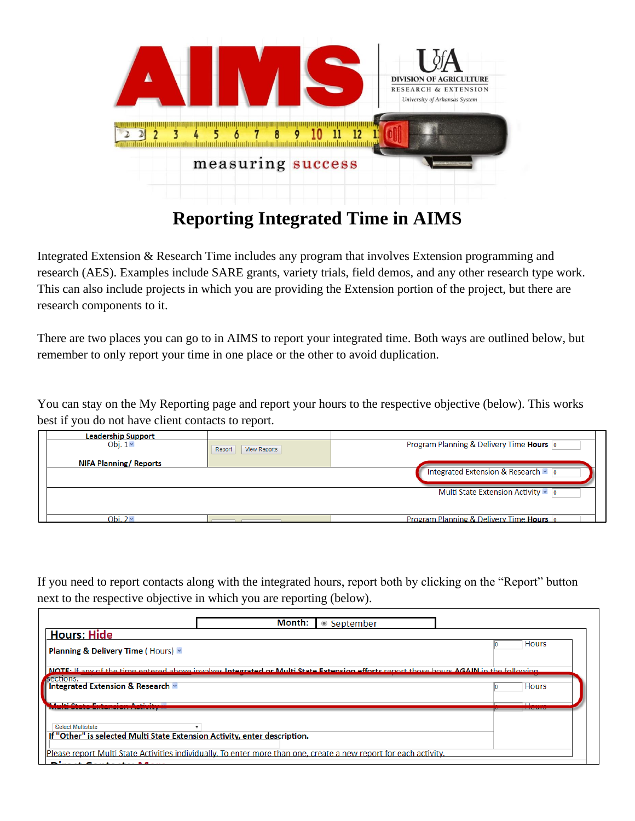

## **Reporting Integrated Time in AIMS**

Integrated Extension & Research Time includes any program that involves Extension programming and research (AES). Examples include SARE grants, variety trials, field demos, and any other research type work. This can also include projects in which you are providing the Extension portion of the project, but there are research components to it.

There are two places you can go to in AIMS to report your integrated time. Both ways are outlined below, but remember to only report your time in one place or the other to avoid duplication.

You can stay on the My Reporting page and report your hours to the respective objective (below). This works best if you do not have client contacts to report.

| <b>Leadership Support</b>     |                               |                                                   |  |
|-------------------------------|-------------------------------|---------------------------------------------------|--|
| Obj. $1 -$                    | <b>View Reports</b><br>Report | Program Planning & Delivery Time Hours 0          |  |
| <b>NIFA Planning/ Reports</b> |                               |                                                   |  |
|                               |                               | Integrated Extension & Research v 0               |  |
|                               |                               | Multi State Extension Activity v 0                |  |
|                               |                               |                                                   |  |
| Obi. 2 $\overline{ }$         |                               | <b>Program Planning &amp; Delivery Time Hours</b> |  |

If you need to report contacts along with the integrated hours, report both by clicking on the "Report" button next to the respective objective in which you are reporting (below).

| NOTE: If any of the time entered above involves Integrated or Multi State Extension efforts report those bours AGAIN in the following<br>If "Other" is selected Multi State Extension Activity, enter description. |                 | ● September | Month: |                                                                                                                                                                                                                                   |
|--------------------------------------------------------------------------------------------------------------------------------------------------------------------------------------------------------------------|-----------------|-------------|--------|-----------------------------------------------------------------------------------------------------------------------------------------------------------------------------------------------------------------------------------|
|                                                                                                                                                                                                                    |                 |             |        | <b>Hours: Hide</b>                                                                                                                                                                                                                |
|                                                                                                                                                                                                                    | <b>Hours</b>    |             |        | <b>Planning &amp; Delivery Time (Hours) *</b>                                                                                                                                                                                     |
|                                                                                                                                                                                                                    |                 |             |        | sections.                                                                                                                                                                                                                         |
|                                                                                                                                                                                                                    | <b>Hours</b>    |             |        | Integrated Extension & Research v                                                                                                                                                                                                 |
|                                                                                                                                                                                                                    | $\overline{11}$ |             |        | $\mathbf{a}$ . In the set of the set of the set of the set of the set of the set of the set of the set of the set of the set of the set of the set of the set of the set of the set of the set of the set of the set of the set o |
|                                                                                                                                                                                                                    |                 |             |        | Select Multistate                                                                                                                                                                                                                 |
|                                                                                                                                                                                                                    |                 |             |        |                                                                                                                                                                                                                                   |
| Please report Multi State Activities individually. To enter more than one, create a new report for each activity.                                                                                                  |                 |             |        | $\sim$                                                                                                                                                                                                                            |